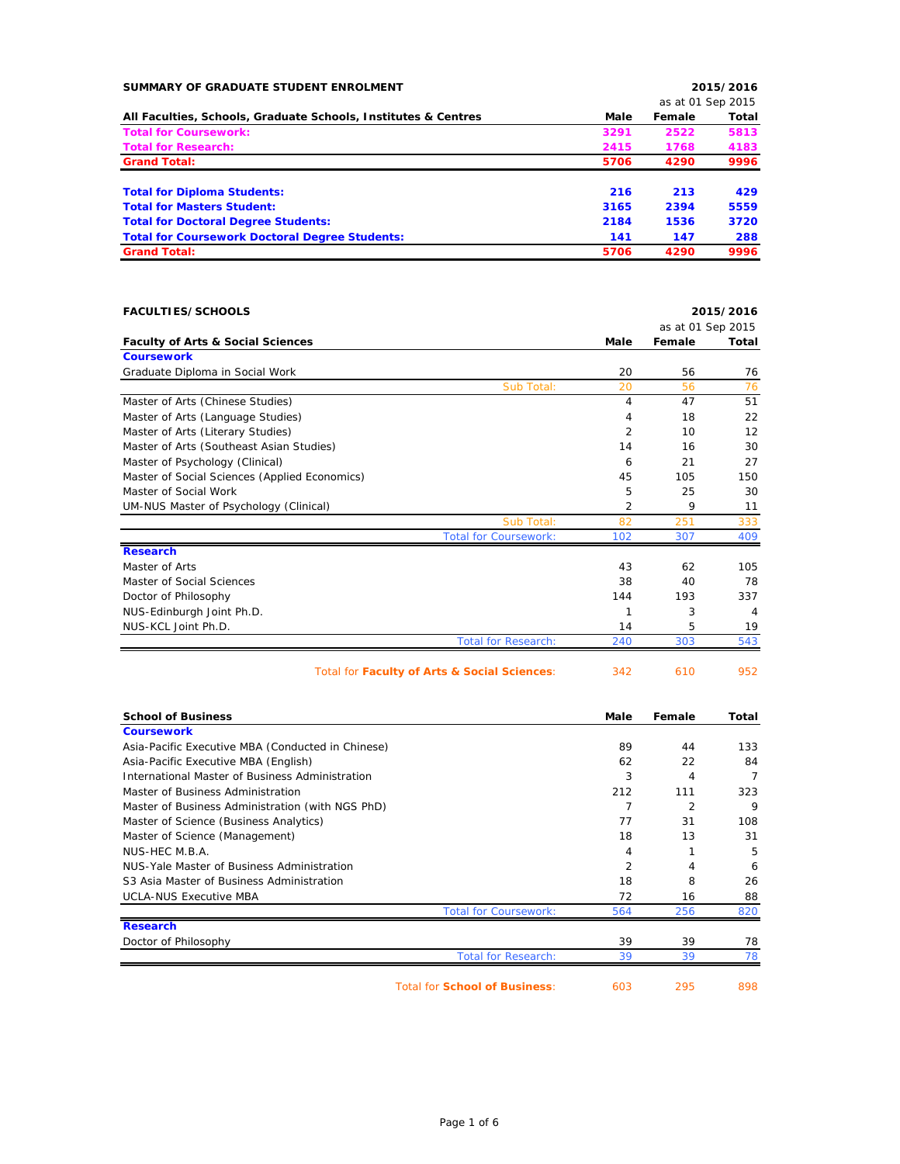| SUMMARY OF GRADUATE STUDENT ENROLMENT                             |                |                             | 2015/2016 |
|-------------------------------------------------------------------|----------------|-----------------------------|-----------|
|                                                                   |                | as at 01 Sep 2015           |           |
| All Faculties, Schools, Graduate Schools, Institutes & Centres    | Male           | Female                      | Total     |
| <b>Total for Coursework:</b>                                      | 3291           | 2522                        | 5813      |
| <b>Total for Research:</b>                                        | 2415           | 1768                        | 4183      |
| <b>Grand Total:</b>                                               | 5706           | 4290                        | 9996      |
| <b>Total for Diploma Students:</b>                                | 216            | 213                         | 429       |
| <b>Total for Masters Student:</b>                                 | 3165           | 2394                        | 5559      |
| <b>Total for Doctoral Degree Students:</b>                        | 2184           | 1536                        | 3720      |
| <b>Total for Coursework Doctoral Degree Students:</b>             | 141            | 147                         | 288       |
| <b>Grand Total:</b>                                               | 5706           | 4290                        | 9996      |
| <b>FACULTIES/SCHOOLS</b>                                          |                |                             | 2015/2016 |
|                                                                   | Male           | as at 01 Sep 2015<br>Female | Total     |
| <b>Faculty of Arts &amp; Social Sciences</b><br><b>Coursework</b> |                |                             |           |
| Graduate Diploma in Social Work                                   | 20             | 56                          | 76        |
| Sub Total:                                                        | 20             | 56                          | 76        |
| Master of Arts (Chinese Studies)                                  | $\overline{4}$ | 47                          | 51        |
| Master of Arts (Language Studies)                                 | 4              | 18                          | 22        |
| Master of Arts (Literary Studies)                                 | 2              | 10                          | 12        |
| Master of Arts (Southeast Asian Studies)                          | 14             | 16                          | 30        |
| Master of Psychology (Clinical)                                   | 6              | 21                          | 27        |
| Master of Social Sciences (Applied Economics)                     | 45             | 105                         | 150       |
| Master of Social Work                                             | 5              | 25                          | 30        |
| UM-NUS Master of Psychology (Clinical)                            | 2              | 9                           | 11        |
| Sub Total:                                                        | 82             | 251                         | 333       |
| <b>Total for Coursework:</b>                                      | 102            | 307                         | 409       |
| <b>Research</b>                                                   |                |                             |           |
| Master of Arts                                                    | 43             | 62                          | 105       |
| Master of Social Sciences                                         | 38             | 40                          | 78        |
| Doctor of Philosophy                                              | 144            | 193                         | 337       |
| NUS-Edinburgh Joint Ph.D.                                         | 1              | 3                           | 4         |
| NUS-KCL Joint Ph.D.                                               | 14             | 5                           | 19        |
| <b>Total for Research:</b>                                        | 240            | 303                         | 543       |
| Total for Faculty of Arts & Social Sciences:                      | 342            | 610                         | 952       |
| <b>School of Business</b>                                         | Male           | Female                      | Total     |
| <b>Coursework</b>                                                 |                |                             |           |
| Asia-Pacific Executive MBA (Conducted in Chinese)                 | 89             | 44                          | 133       |
| Asia-Pacific Executive MBA (English)                              | 62             | 22                          | 84        |
| International Master of Business Administration                   | 3              | 4                           | 7         |
| Master of Business Administration                                 | 212            | 111                         | 323       |
| Master of Business Administration (with NGS PhD)                  | 7              | 2                           | 9         |
| Master of Science (Business Analytics)                            | 77             | 31                          | 108       |

Master of Science (Business Analytics) **77** 31 108 Master of Science (Management) 18 13 31 NUS-HEC M.B.A. 5 NUS-Yale Master of Business Administration 6 and 2 3 million 2 4 cm 4 6 6 and 4 6 6 6 and 4 6 6 6 7 and 4 6 6 7 and 4 6 6 7 and 4 6 7 and 4 6 7 and 4 7 and 4 7 and 4 7 and 4 7 and 4 7 and 4 7 and 4 7 and 4 7 and 4 7 and 4 S3 Asia Master of Business Administration 18 8 26 UCLA-NUS Executive MBA 72 16 88 Total for Coursework:  $564$  256 820 **Research** Doctor of Philosophy 39 39 78 Total for Research: 39 39 39 78

Total for **School of Business**: 603 295 898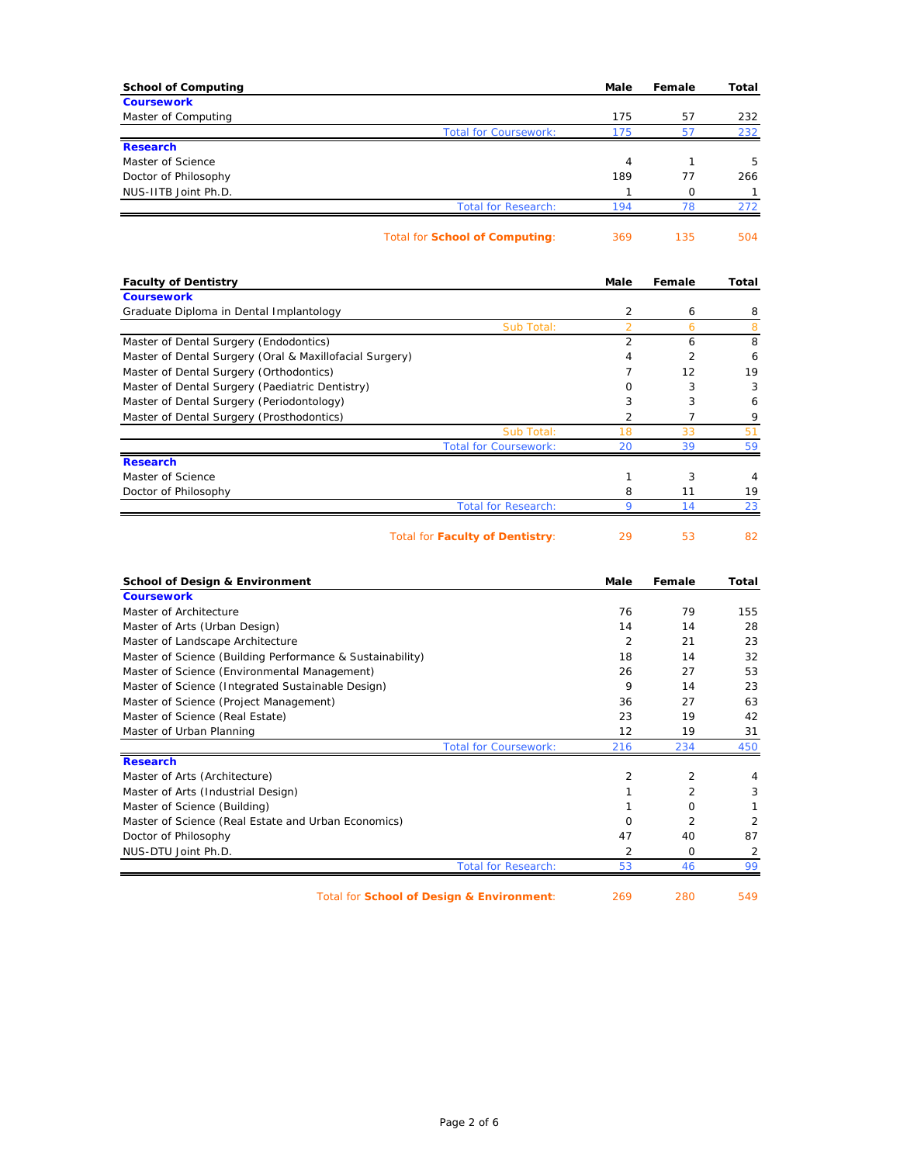| <b>School of Computing</b>                                | Male           | Female       | Total          |
|-----------------------------------------------------------|----------------|--------------|----------------|
| <b>Coursework</b>                                         |                |              |                |
| Master of Computing                                       | 175            | 57           | 232            |
| <b>Total for Coursework:</b>                              | 175            | 57           | 232            |
| <b>Research</b>                                           |                |              |                |
| Master of Science                                         | 4              | $\mathbf{1}$ | 5              |
| Doctor of Philosophy                                      | 189            | 77           | 266            |
| NUS-IITB Joint Ph.D.                                      | 1              | 0            | 1              |
| <b>Total for Research:</b>                                | 194            | 78           | 272            |
| <b>Total for School of Computing:</b>                     | 369            | 135          | 504            |
| <b>Faculty of Dentistry</b>                               | Male           | Female       | Total          |
| <b>Coursework</b>                                         |                |              |                |
| Graduate Diploma in Dental Implantology                   | 2              | 6            | 8              |
| Sub Total:                                                | $\overline{2}$ | 6            | 8              |
| Master of Dental Surgery (Endodontics)                    | 2              | 6<br>2       | 8              |
| Master of Dental Surgery (Oral & Maxillofacial Surgery)   | 4              |              | 6              |
| Master of Dental Surgery (Orthodontics)                   | $\overline{7}$ | 12           | 19             |
| Master of Dental Surgery (Paediatric Dentistry)           | 0              | 3            | 3              |
| Master of Dental Surgery (Periodontology)                 | 3              | 3            | 6              |
| Master of Dental Surgery (Prosthodontics)                 | 2              | 7            | 9              |
| Sub Total:                                                | 18             | 33           | 51             |
| <b>Total for Coursework:</b><br><b>Research</b>           | 20             | 39           | 59             |
| Master of Science                                         | 1              | 3            | 4              |
| Doctor of Philosophy                                      | 8              | 11           | 19             |
| <b>Total for Research:</b>                                | 9              | 14           | 23             |
| <b>Total for Faculty of Dentistry:</b>                    | 29             | 53           | 82             |
| <b>School of Design &amp; Environment</b>                 | Male           | Female       | Total          |
| <b>Coursework</b>                                         |                |              |                |
| Master of Architecture                                    | 76             | 79           | 155            |
| Master of Arts (Urban Design)                             | 14             | 14           | 28             |
| Master of Landscape Architecture                          | 2              | 21           | 23             |
| Master of Science (Building Performance & Sustainability) | 18             | 14           | 32             |
| Master of Science (Environmental Management)              | 26             | 27           | 53             |
| Master of Science (Integrated Sustainable Design)         | 9              | 14           | 23             |
| Master of Science (Project Management)                    | 36             | 27           | 63             |
| Master of Science (Real Estate)                           | 23             | 19           | 42             |
| Master of Urban Planning                                  | 12             | 19           | 31             |
| <b>Total for Coursework:</b>                              | 216            | 234          | 450            |
| <b>Research</b>                                           |                |              |                |
| Master of Arts (Architecture)                             | 2              | 2            | 4              |
| Master of Arts (Industrial Design)                        | $\mathbf{1}$   | 2            | 3              |
| Master of Science (Building)                              | $\mathbf{1}$   | 0            | $\mathbf{1}$   |
| Master of Science (Real Estate and Urban Economics)       | 0              | 2            | 2              |
| Doctor of Philosophy                                      | 47             | 40           | 87             |
| NUS-DTU Joint Ph.D.                                       | 2              | 0            | $\overline{2}$ |
| <b>Total for Research:</b>                                | 53             | 46           | 99             |
| Total for School of Design & Environment:                 | 269            | 280          | 549            |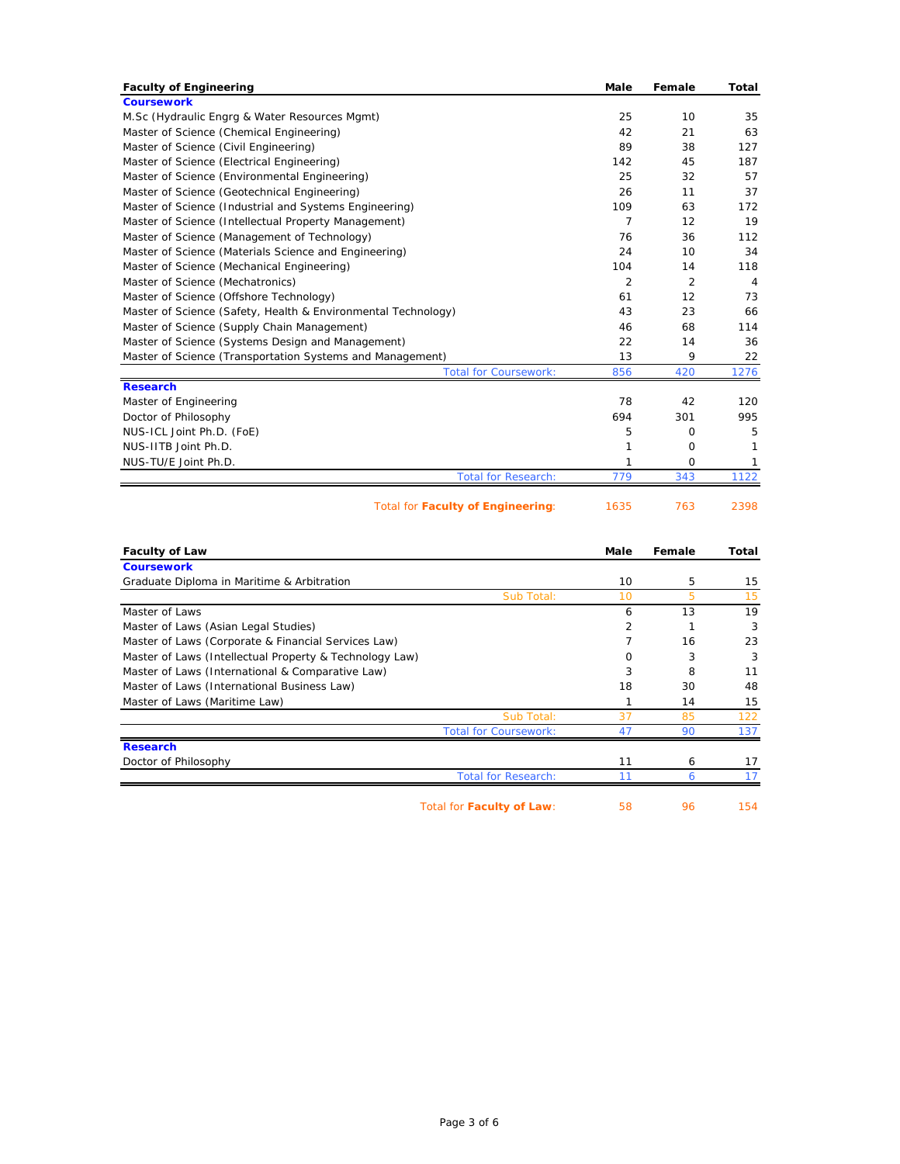| <b>Faculty of Engineering</b>                                 | <b>Male</b>    | Female         | Total          |
|---------------------------------------------------------------|----------------|----------------|----------------|
| <b>Coursework</b>                                             |                |                |                |
| M.Sc (Hydraulic Engrg & Water Resources Mgmt)                 | 25             | 10             | 35             |
| Master of Science (Chemical Engineering)                      | 42             | 21             | 63             |
| Master of Science (Civil Engineering)                         | 89             | 38             | 127            |
| Master of Science (Electrical Engineering)                    | 142            | 45             | 187            |
| Master of Science (Environmental Engineering)                 | 25             | 32             | 57             |
| Master of Science (Geotechnical Engineering)                  | 26             | 11             | 37             |
| Master of Science (Industrial and Systems Engineering)        | 109            | 63             | 172            |
| Master of Science (Intellectual Property Management)          | $\overline{7}$ | 12             | 19             |
| Master of Science (Management of Technology)                  | 76             | 36             | 112            |
| Master of Science (Materials Science and Engineering)         | 24             | 10             | 34             |
| Master of Science (Mechanical Engineering)                    | 104            | 14             | 118            |
| Master of Science (Mechatronics)                              | $\overline{2}$ | $\overline{2}$ | $\overline{4}$ |
| Master of Science (Offshore Technology)                       | 61             | 12             | 73             |
| Master of Science (Safety, Health & Environmental Technology) | 43             | 23             | 66             |
| Master of Science (Supply Chain Management)                   | 46             | 68             | 114            |
| Master of Science (Systems Design and Management)             | 22             | 14             | 36             |
| Master of Science (Transportation Systems and Management)     | 13             | 9              | 22             |
| <b>Total for Coursework:</b>                                  | 856            | 420            | 1276           |
| <b>Research</b>                                               |                |                |                |
| Master of Engineering                                         | 78             | 42             | 120            |
| Doctor of Philosophy                                          | 694            | 301            | 995            |
| NUS-ICL Joint Ph.D. (FoE)                                     | 5              | 0              | 5              |
| NUS-IITB Joint Ph.D.                                          | 1              | $\Omega$       | 1              |
| NUS-TU/E Joint Ph.D.                                          | 1              | 0              | 1              |
| <b>Total for Research:</b>                                    | 779            | 343            | 1122           |
| <b>Total for Faculty of Engineering:</b>                      | 1635           | 763            | 2398           |
| <b>Faculty of Law</b>                                         | <b>Male</b>    | Female         | Total          |
| <b>Coursework</b>                                             |                |                |                |
| Graduate Diploma in Maritime & Arbitration                    | 10             | 5              | 15             |
| $C1$ , $E1$ , $E2$ , $E3$ , $E4$ , $E5$                       | 10             |                | 1 E            |

| <b>COURSEWORK</b>                                       |    |    |     |
|---------------------------------------------------------|----|----|-----|
| Graduate Diploma in Maritime & Arbitration              | 10 | 5  | 15  |
| Sub Total:                                              | 10 | 5  | 15  |
| Master of Laws                                          | 6  | 13 | 19  |
| Master of Laws (Asian Legal Studies)                    | 2  |    | 3   |
| Master of Laws (Corporate & Financial Services Law)     |    | 16 | 23  |
| Master of Laws (Intellectual Property & Technology Law) | Ω  | 3  | 3   |
| Master of Laws (International & Comparative Law)        | 3  | 8  | 11  |
| Master of Laws (International Business Law)             | 18 | 30 | 48  |
| Master of Laws (Maritime Law)                           |    | 14 | 15  |
| Sub Total:                                              | 37 | 85 | 122 |
| <b>Total for Coursework:</b>                            | 47 | 90 | 137 |
| <b>Research</b>                                         |    |    |     |
| Doctor of Philosophy                                    | 11 | 6  | 17  |
| <b>Total for Research:</b>                              |    | 6  |     |
| Total for Faculty of Law:                               | 58 | 96 | 154 |

Page 3 of 6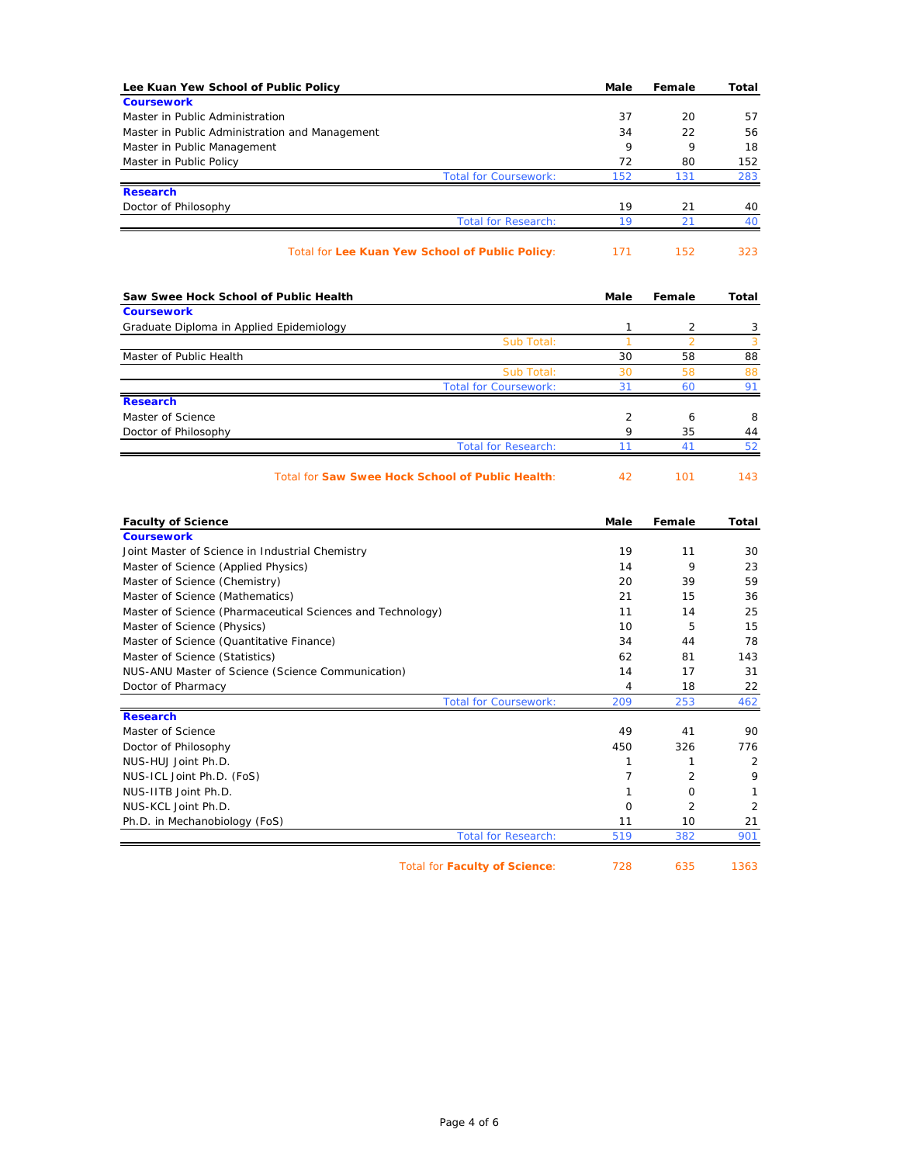| Lee Kuan Yew School of Public Policy                                 | Male           | Female               | Total     |
|----------------------------------------------------------------------|----------------|----------------------|-----------|
| <b>Coursework</b>                                                    |                |                      |           |
| Master in Public Administration                                      | 37             | 20                   | 57        |
| Master in Public Administration and Management                       | 34             | 22<br>9              | 56        |
| Master in Public Management                                          | 9<br>72        | 80                   | 18<br>152 |
| Master in Public Policy<br><b>Total for Coursework:</b>              | 152            | 131                  | 283       |
| <b>Research</b>                                                      |                |                      |           |
| Doctor of Philosophy                                                 | 19             | 21                   | 40        |
| <b>Total for Research:</b>                                           | 19             | 21                   | 40        |
| Total for Lee Kuan Yew School of Public Policy:                      | 171            | 152                  | 323       |
| Saw Swee Hock School of Public Health                                | Male           | Female               | Total     |
| <b>Coursework</b>                                                    |                |                      |           |
| Graduate Diploma in Applied Epidemiology                             | 1<br>1         | 2                    | 3         |
| Sub Total:<br>Master of Public Health                                | 30             | $\overline{2}$<br>58 | 3<br>88   |
| Sub Total:                                                           | 30             | 58                   | 88        |
| <b>Total for Coursework:</b>                                         | 31             | 60                   | 91        |
| <b>Research</b>                                                      |                |                      |           |
| Master of Science                                                    | 2              | 6                    | 8         |
| Doctor of Philosophy                                                 | 9              | 35                   | 44        |
| <b>Total for Research:</b>                                           | 11             | 41                   | 52        |
| Total for Saw Swee Hock School of Public Health:                     | 42             | 101                  | 143       |
| <b>Faculty of Science</b>                                            | Male           | Female               | Total     |
| <b>Coursework</b>                                                    |                |                      |           |
| Joint Master of Science in Industrial Chemistry                      | 19<br>14       | 11<br>9              | 30<br>23  |
| Master of Science (Applied Physics)<br>Master of Science (Chemistry) | 20             | 39                   | 59        |
| Master of Science (Mathematics)                                      | 21             | 15                   | 36        |
| Master of Science (Pharmaceutical Sciences and Technology)           | 11             | 14                   | 25        |
| Master of Science (Physics)                                          | 10             | 5                    | 15        |
| Master of Science (Quantitative Finance)                             | 34             | 44                   | 78        |
| Master of Science (Statistics)                                       | 62             | 81                   | 143       |
| NUS-ANU Master of Science (Science Communication)                    | 14             | 17                   | 31        |
| Doctor of Pharmacy                                                   | 4              | 18                   | 22        |
| <b>Total for Coursework:</b>                                         | 209            | 253                  | 462       |
| <b>Research</b>                                                      |                |                      |           |
| Master of Science                                                    | 49             | 41                   | 90        |
| Doctor of Philosophy<br>NUS-HUJ Joint Ph.D.                          | 450<br>1       | 326<br>1             | 776       |
| NUS-ICL Joint Ph.D. (FoS)                                            | $\overline{7}$ | 2                    | 2<br>9    |
| NUS-IITB Joint Ph.D.                                                 | 1              | 0                    | 1         |
| NUS-KCL Joint Ph.D.                                                  | $\mathbf 0$    | $\overline{c}$       | 2         |
| Ph.D. in Mechanobiology (FoS)                                        | 11             | 10                   | 21        |
| <b>Total for Research:</b>                                           | 519            | 382                  | 901       |
|                                                                      |                |                      |           |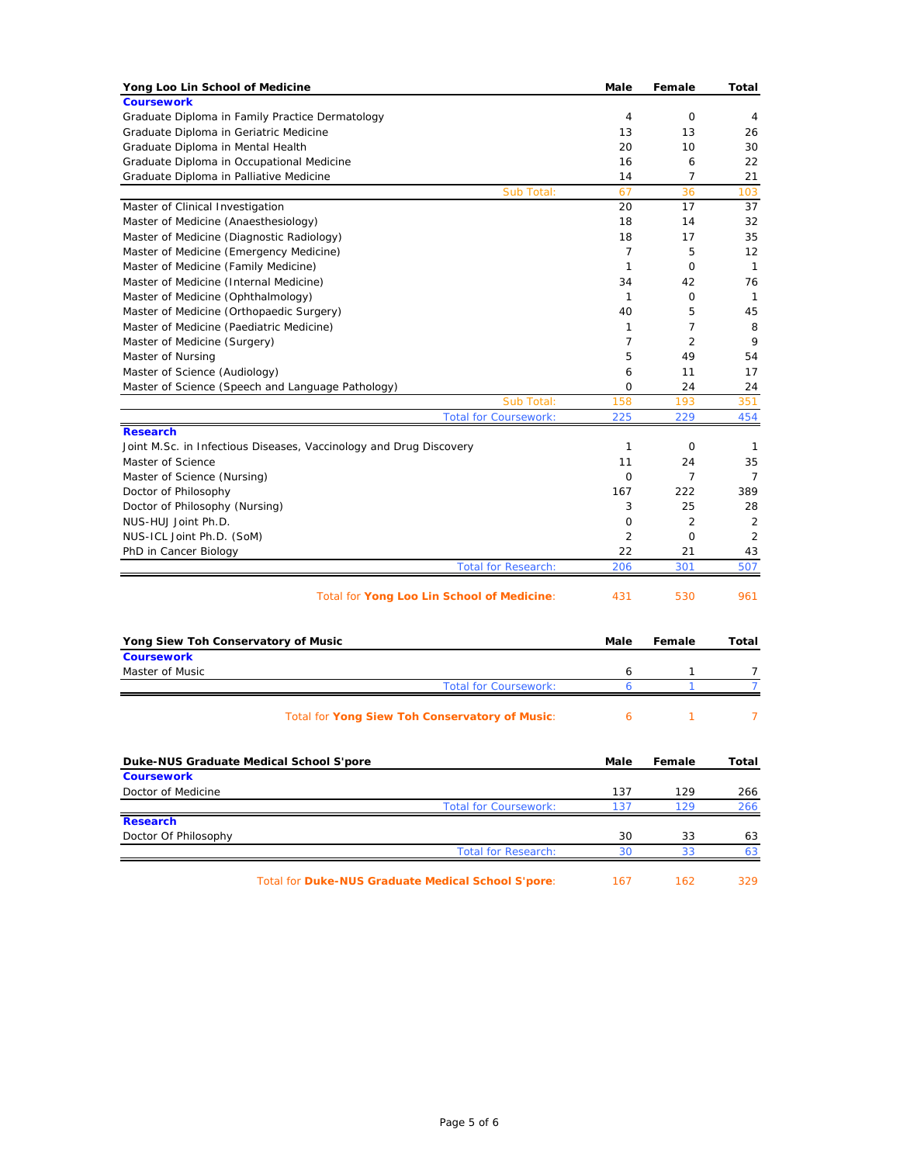| Yong Loo Lin School of Medicine                                                 | Male                 | Female         | Total          |
|---------------------------------------------------------------------------------|----------------------|----------------|----------------|
| <b>Coursework</b>                                                               |                      |                |                |
| Graduate Diploma in Family Practice Dermatology                                 | 4                    | 0              | 4              |
| Graduate Diploma in Geriatric Medicine                                          | 13                   | 13             | 26             |
| Graduate Diploma in Mental Health                                               | 20                   | 10             | 30             |
| Graduate Diploma in Occupational Medicine                                       | 16                   | 6              | 22             |
| Graduate Diploma in Palliative Medicine                                         | 14                   | $\overline{7}$ | 21             |
| Sub Total:                                                                      | 67                   | 36             | 103            |
| Master of Clinical Investigation                                                | 20                   | 17             | 37             |
| Master of Medicine (Anaesthesiology)                                            | 18                   | 14             | 32<br>35       |
| Master of Medicine (Diagnostic Radiology)                                       | 18<br>$\overline{7}$ | 17<br>5        | 12             |
| Master of Medicine (Emergency Medicine)<br>Master of Medicine (Family Medicine) | 1                    | $\mathbf 0$    | $\mathbf{1}$   |
| Master of Medicine (Internal Medicine)                                          | 34                   | 42             | 76             |
| Master of Medicine (Ophthalmology)                                              | 1                    | 0              | $\mathbf{1}$   |
| Master of Medicine (Orthopaedic Surgery)                                        | 40                   | 5              | 45             |
| Master of Medicine (Paediatric Medicine)                                        | $\mathbf{1}$         | $\overline{7}$ | 8              |
| Master of Medicine (Surgery)                                                    | $\overline{7}$       | 2              | 9              |
| Master of Nursing                                                               | 5                    | 49             | 54             |
| Master of Science (Audiology)                                                   | 6                    | 11             | 17             |
| Master of Science (Speech and Language Pathology)                               | 0                    | 24             | 24             |
| Sub Total:                                                                      | 158                  | 193            | 351            |
| <b>Total for Coursework:</b>                                                    | 225                  | 229            | 454            |
| <b>Research</b>                                                                 |                      |                |                |
| Joint M.Sc. in Infectious Diseases, Vaccinology and Drug Discovery              | 1                    | 0              | 1              |
| Master of Science                                                               | 11                   | 24             | 35             |
| Master of Science (Nursing)                                                     | $\mathbf{O}$         | $\overline{7}$ | $\overline{7}$ |
| Doctor of Philosophy                                                            | 167                  | 222            | 389            |
| Doctor of Philosophy (Nursing)                                                  | 3                    | 25             | 28             |
| NUS-HUJ Joint Ph.D.                                                             | 0                    | $\overline{2}$ | $\overline{2}$ |
| NUS-ICL Joint Ph.D. (SoM)                                                       | 2                    | 0              | 2              |
| PhD in Cancer Biology                                                           | 22                   | 21             | 43             |
| <b>Total for Research:</b>                                                      | 206                  | 301            | 507            |
| Total for Yong Loo Lin School of Medicine:                                      | 431                  | 530            | 961            |
| Yong Siew Toh Conservatory of Music                                             | Male                 | Female         | Total          |
| <b>Coursework</b>                                                               |                      |                |                |
| Master of Music                                                                 | 6                    | 1              | 7              |
| <b>Total for Coursework:</b>                                                    | 6                    | $\mathbf{1}$   | $\overline{7}$ |
| Total for Yong Siew Toh Conservatory of Music:                                  | 6                    | 1              | 7              |
| Duke-NUS Graduate Medical School S'pore                                         | Male                 | Female         | Total          |
| <b>Coursework</b>                                                               |                      |                |                |
| Doctor of Medicine                                                              | 137                  | 129            | 266            |
| <b>Total for Coursework:</b>                                                    | 137                  | 129            | 266            |
| <b>Research</b>                                                                 |                      |                |                |
| Doctor Of Philosophy                                                            | 30                   | 33             | 63             |
| <b>Total for Research:</b>                                                      | 30                   | 33             | 63             |
| Total for Duke-NUS Graduate Medical School S'pore:                              | 167                  | 162            | 329            |